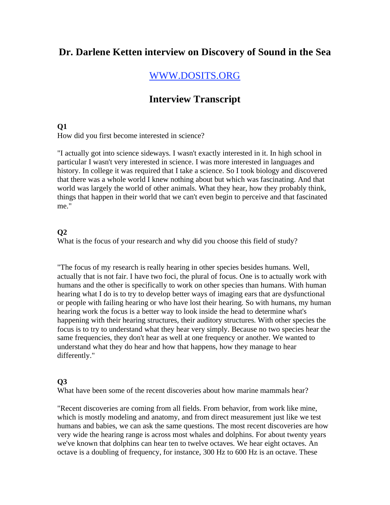# **Dr. Darlene Ketten interview on Discovery of Sound in the Sea**

# WWW.DOSITS.ORG

# **Interview Transcript**

#### **Q1**

How did you first become interested in science?

"I actually got into science sideways. I wasn't exactly interested in it. In high school in particular I wasn't very interested in science. I was more interested in languages and history. In college it was required that I take a science. So I took biology and discovered that there was a whole world I knew nothing about but which was fascinating. And that world was largely the world of other animals. What they hear, how they probably think, things that happen in their world that we can't even begin to perceive and that fascinated me."

### **Q2**

What is the focus of your research and why did you choose this field of study?

"The focus of my research is really hearing in other species besides humans. Well, actually that is not fair. I have two foci, the plural of focus. One is to actually work with humans and the other is specifically to work on other species than humans. With human hearing what I do is to try to develop better ways of imaging ears that are dysfunctional or people with failing hearing or who have lost their hearing. So with humans, my human hearing work the focus is a better way to look inside the head to determine what's happening with their hearing structures, their auditory structures. With other species the focus is to try to understand what they hear very simply. Because no two species hear the same frequencies, they don't hear as well at one frequency or another. We wanted to understand what they do hear and how that happens, how they manage to hear differently."

## **Q3**

What have been some of the recent discoveries about how marine mammals hear?

"Recent discoveries are coming from all fields. From behavior, from work like mine, which is mostly modeling and anatomy, and from direct measurement just like we test humans and babies, we can ask the same questions. The most recent discoveries are how very wide the hearing range is across most whales and dolphins. For about twenty years we've known that dolphins can hear ten to twelve octaves. We hear eight octaves. An octave is a doubling of frequency, for instance, 300 Hz to 600 Hz is an octave. These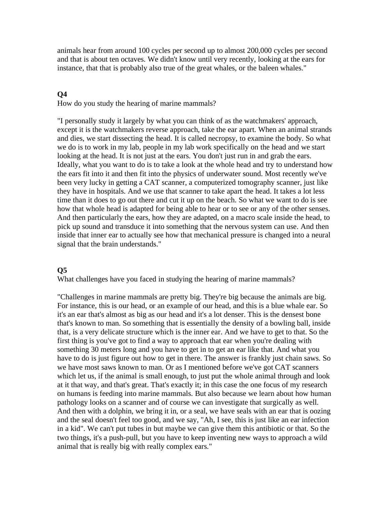animals hear from around 100 cycles per second up to almost 200,000 cycles per second and that is about ten octaves. We didn't know until very recently, looking at the ears for instance, that that is probably also true of the great whales, or the baleen whales."

## **Q4**

How do you study the hearing of marine mammals?

"I personally study it largely by what you can think of as the watchmakers' approach, except it is the watchmakers reverse approach, take the ear apart. When an animal strands and dies, we start dissecting the head. It is called necropsy, to examine the body. So what we do is to work in my lab, people in my lab work specifically on the head and we start looking at the head. It is not just at the ears. You don't just run in and grab the ears. Ideally, what you want to do is to take a look at the whole head and try to understand how the ears fit into it and then fit into the physics of underwater sound. Most recently we've been very lucky in getting a CAT scanner, a computerized tomography scanner, just like they have in hospitals. And we use that scanner to take apart the head. It takes a lot less time than it does to go out there and cut it up on the beach. So what we want to do is see how that whole head is adapted for being able to hear or to see or any of the other senses. And then particularly the ears, how they are adapted, on a macro scale inside the head, to pick up sound and transduce it into something that the nervous system can use. And then inside that inner ear to actually see how that mechanical pressure is changed into a neural signal that the brain understands."

### **Q5**

What challenges have you faced in studying the hearing of marine mammals?

"Challenges in marine mammals are pretty big. They're big because the animals are big. For instance, this is our head, or an example of our head, and this is a blue whale ear. So it's an ear that's almost as big as our head and it's a lot denser. This is the densest bone that's known to man. So something that is essentially the density of a bowling ball, inside that, is a very delicate structure which is the inner ear. And we have to get to that. So the first thing is you've got to find a way to approach that ear when you're dealing with something 30 meters long and you have to get in to get an ear like that. And what you have to do is just figure out how to get in there. The answer is frankly just chain saws. So we have most saws known to man. Or as I mentioned before we've got CAT scanners which let us, if the animal is small enough, to just put the whole animal through and look at it that way, and that's great. That's exactly it; in this case the one focus of my research on humans is feeding into marine mammals. But also because we learn about how human pathology looks on a scanner and of course we can investigate that surgically as well. And then with a dolphin, we bring it in, or a seal, we have seals with an ear that is oozing and the seal doesn't feel too good, and we say, "Ah, I see, this is just like an ear infection in a kid". We can't put tubes in but maybe we can give them this antibiotic or that. So the two things, it's a push-pull, but you have to keep inventing new ways to approach a wild animal that is really big with really complex ears."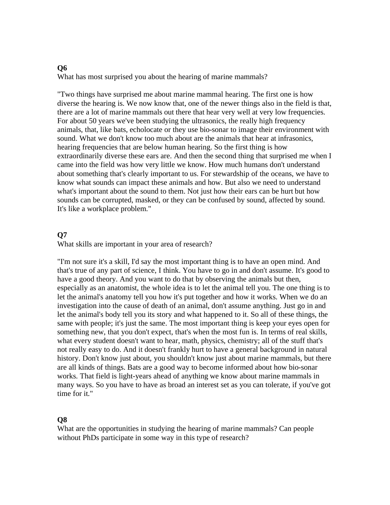#### **Q6**

What has most surprised you about the hearing of marine mammals?

"Two things have surprised me about marine mammal hearing. The first one is how diverse the hearing is. We now know that, one of the newer things also in the field is that, there are a lot of marine mammals out there that hear very well at very low frequencies. For about 50 years we've been studying the ultrasonics, the really high frequency animals, that, like bats, echolocate or they use bio-sonar to image their environment with sound. What we don't know too much about are the animals that hear at infrasonics, hearing frequencies that are below human hearing. So the first thing is how extraordinarily diverse these ears are. And then the second thing that surprised me when I came into the field was how very little we know. How much humans don't understand about something that's clearly important to us. For stewardship of the oceans, we have to know what sounds can impact these animals and how. But also we need to understand what's important about the sound to them. Not just how their ears can be hurt but how sounds can be corrupted, masked, or they can be confused by sound, affected by sound. It's like a workplace problem."

## **Q7**

What skills are important in your area of research?

"I'm not sure it's a skill, I'd say the most important thing is to have an open mind. And that's true of any part of science, I think. You have to go in and don't assume. It's good to have a good theory. And you want to do that by observing the animals but then, especially as an anatomist, the whole idea is to let the animal tell you. The one thing is to let the animal's anatomy tell you how it's put together and how it works. When we do an investigation into the cause of death of an animal, don't assume anything. Just go in and let the animal's body tell you its story and what happened to it. So all of these things, the same with people; it's just the same. The most important thing is keep your eyes open for something new, that you don't expect, that's when the most fun is. In terms of real skills, what every student doesn't want to hear, math, physics, chemistry; all of the stuff that's not really easy to do. And it doesn't frankly hurt to have a general background in natural history. Don't know just about, you shouldn't know just about marine mammals, but there are all kinds of things. Bats are a good way to become informed about how bio-sonar works. That field is light-years ahead of anything we know about marine mammals in many ways. So you have to have as broad an interest set as you can tolerate, if you've got time for it."

### **Q8**

What are the opportunities in studying the hearing of marine mammals? Can people without PhDs participate in some way in this type of research?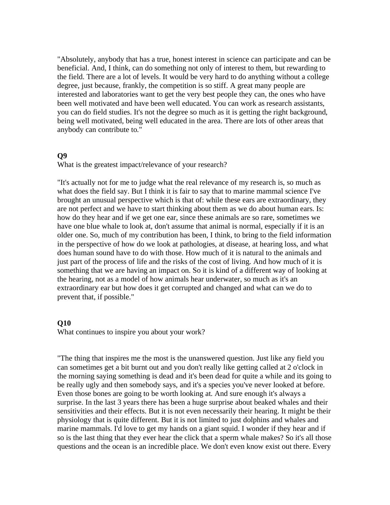"Absolutely, anybody that has a true, honest interest in science can participate and can be beneficial. And, I think, can do something not only of interest to them, but rewarding to the field. There are a lot of levels. It would be very hard to do anything without a college degree, just because, frankly, the competition is so stiff. A great many people are interested and laboratories want to get the very best people they can, the ones who have been well motivated and have been well educated. You can work as research assistants, you can do field studies. It's not the degree so much as it is getting the right background, being well motivated, being well educated in the area. There are lots of other areas that anybody can contribute to."

#### **Q9**

What is the greatest impact/relevance of your research?

"It's actually not for me to judge what the real relevance of my research is, so much as what does the field say. But I think it is fair to say that to marine mammal science I've brought an unusual perspective which is that of: while these ears are extraordinary, they are not perfect and we have to start thinking about them as we do about human ears. Is: how do they hear and if we get one ear, since these animals are so rare, sometimes we have one blue whale to look at, don't assume that animal is normal, especially if it is an older one. So, much of my contribution has been, I think, to bring to the field information in the perspective of how do we look at pathologies, at disease, at hearing loss, and what does human sound have to do with those. How much of it is natural to the animals and just part of the process of life and the risks of the cost of living. And how much of it is something that we are having an impact on. So it is kind of a different way of looking at the hearing, not as a model of how animals hear underwater, so much as it's an extraordinary ear but how does it get corrupted and changed and what can we do to prevent that, if possible."

#### **Q10**

What continues to inspire you about your work?

"The thing that inspires me the most is the unanswered question. Just like any field you can sometimes get a bit burnt out and you don't really like getting called at 2 o'clock in the morning saying something is dead and it's been dead for quite a while and its going to be really ugly and then somebody says, and it's a species you've never looked at before. Even those bones are going to be worth looking at. And sure enough it's always a surprise. In the last 3 years there has been a huge surprise about beaked whales and their sensitivities and their effects. But it is not even necessarily their hearing. It might be their physiology that is quite different. But it is not limited to just dolphins and whales and marine mammals. I'd love to get my hands on a giant squid. I wonder if they hear and if so is the last thing that they ever hear the click that a sperm whale makes? So it's all those questions and the ocean is an incredible place. We don't even know exist out there. Every